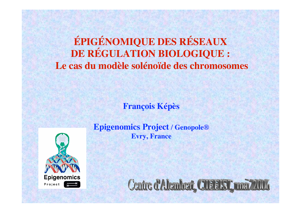**ÉPIGÉNOMIQUE DES RÉSEAUX DE RÉGULATION BIOLOGIQUE : Le cas du modèle solénoïde des chromosomes**

**François Képès**

**Epigenomics Project / Genopole® Evry, France**



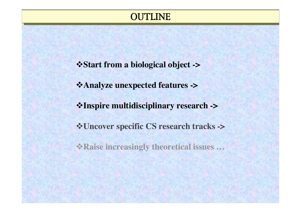# **OUTLINE**

**Start from a biological object -> Analyze unexpected features -> Inspire multidisciplinary research -> Uncover specific CS research tracks -> \*** Raise increasingly theoretical issues ...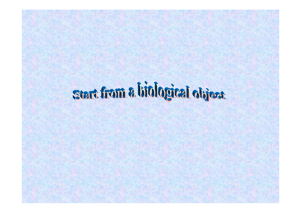# Start from a biological object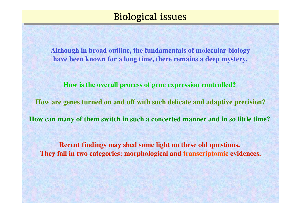#### Biological issues

**Although in broad outline, the fundamentals of molecular biology have been known for a long time, there remains a deep mystery.**

**How is the overall process of gene expression controlled?** 

**How are genes turned on and off with such delicate and adaptive precision?**

**How can many of them switch in such a concerted manner and in so little time?** 

**Recent findings may shed some light on these old questions. They fall in two categories: morphological and transcriptomic evidences.**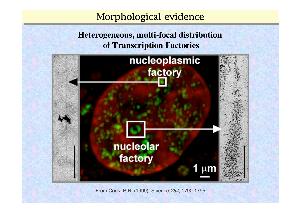# Morphological evidence

**Heterogeneous, multi-focal distribution of Transcription Factories**



From Cook, P.R. (1999). Science 284, 1790-1795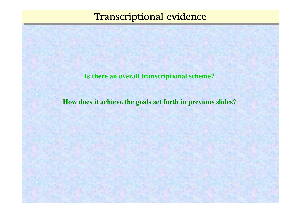# Transcriptional evidence

**Is there an overall transcriptional scheme?** 

**How does it achieve the goals set forth in previous slides?**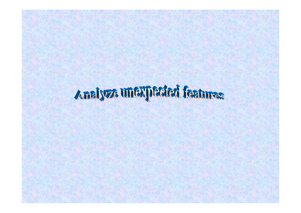# Analyze unexpected features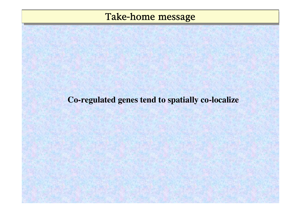# Take-home message

#### **Co-regulated genes tend to spatially co-localize**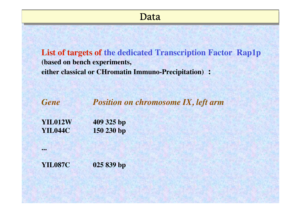### Data

**List of targets of the dedicated Transcription Factor Rap1p (based on bench experiments, either classical or CHromatin Immuno-Precipitation) :**

*Gene Position on chromosome IX, left arm*

| <b>YIL012W</b> | 409 325 bp |
|----------------|------------|
| <b>YIL044C</b> | 150 230 bp |

**YIL087C 025 839 bp**

**...**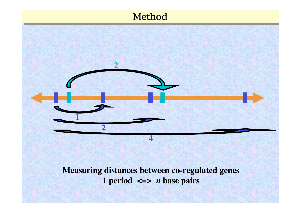

**1 period <=>** *n* **base pairs**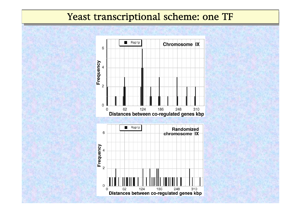### Yeast transcriptional scheme: one TF

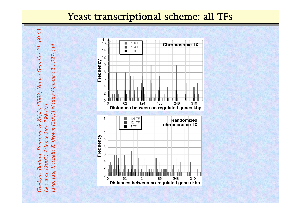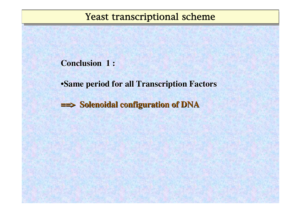# Yeast transcriptional scheme

**Conclusion 1 : Conclusion 1 :**

•**Same period for all Transcription Factors Same period for all Transcription Factors**

**==> Solenoidal configuration of DNA ==> Solenoidal configuration of DNA**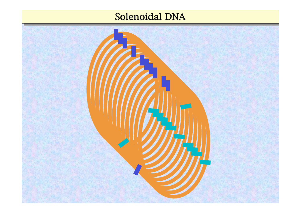# Solenoidal DNA

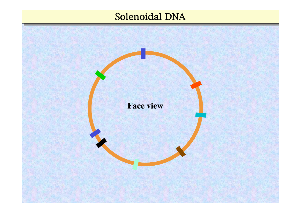# Solenoidal DNA

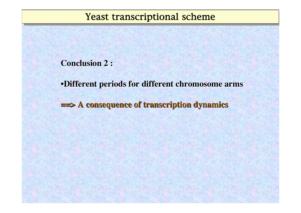# Yeast transcriptional scheme

#### **Conclusion 2 : Conclusion 2 :**

•**Different periods for different chromosome arms Different periods for different chromosome arms**

**==> A consequence of transcription dynamics ==> A consequence of transcription dynamics**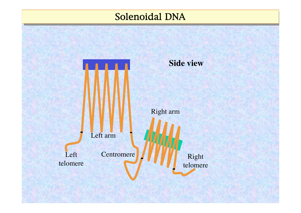# Solenoidal DNA

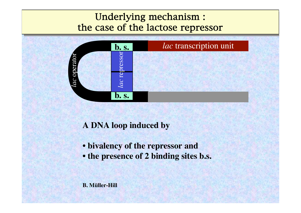# Underlying mechanism : Underlying mechanism : the case of the lactose repressor the case of the lactose repressor



### **A DNA loop induced by**

- • **bivalency of the repressor and**
- **the presence of 2 binding sites b.s.**

#### **B. Müller-Hill**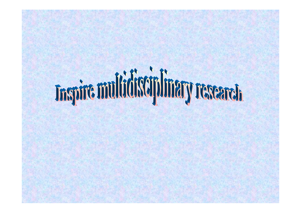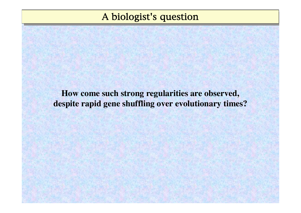## A biologist's question

**How come such strong regularities are observed, despite rapid gene shuffling over evolutionary times?**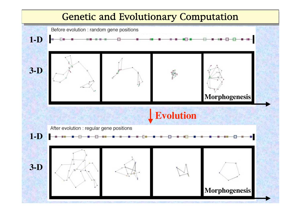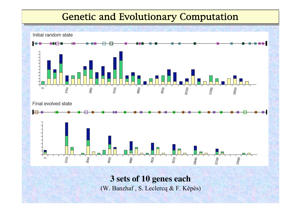# Genetic and Evolutionary Computation

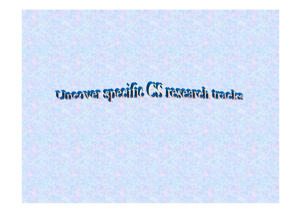# Dreamer specific CS research tracks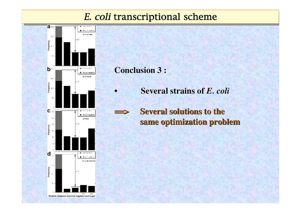# E. coli transcriptional scheme

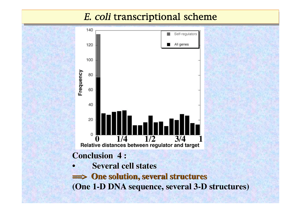# E. coli transcriptional scheme

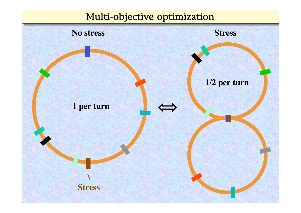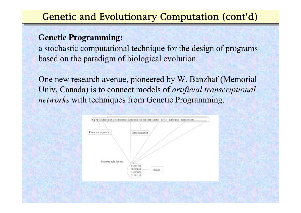# Genetic and Evolutionary Computation (cont'd)

#### **Genetic Programming:**

a stochastic computational technique for the design of programs based on the paradigm of biological evolution.

One new research avenue, pioneered by W. Banzhaf (Memorial Univ, Canada) is to connect models of *artificial transcriptional networks* with techniques from Genetic Programming.

| Promoter sequence      | Gene sequence                                           |  |
|------------------------|---------------------------------------------------------|--|
|                        |                                                         |  |
| Majority rule for bits | 01001100<br>10110011<br>Protein<br>11011000<br>11111110 |  |
|                        |                                                         |  |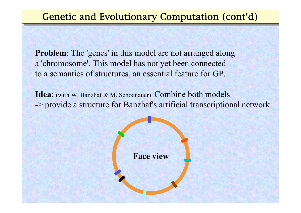# Genetic and Evolutionary Computation (cont'd)

**Problem:** The 'genes' in this model are not arranged along a 'chromosome'. This model has not yet been connected to a semantics of structures, an essential feature for GP.

**Idea**: (with W. Banzhaf & M. Schoenauer) Combine both models -> provide a structure for Banzhaf's artificial transcriptional network.

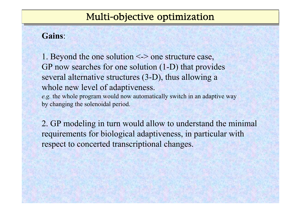# Multi-objective optimization

**Gains**:

1. Beyond the one solution <-> one structure case, GP now searches for one solution (1-D) that provides several alternative structures (3-D), thus allowing a whole new level of adaptiveness.

*e.g.* the whole program would now automatically switch in an adaptive way by changing the solenoidal period.

2. GP modeling in turn would allow to understand the minimal requirements for biological adaptiveness, in particular with respect to concerted transcriptional changes.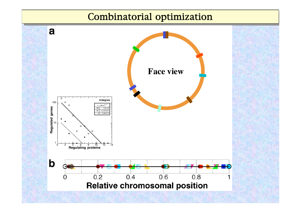